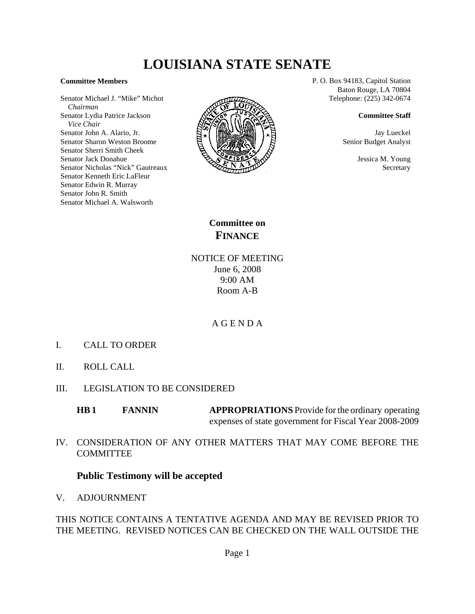# **LOUISIANA STATE SENATE**

### **Committee Members**

Senator Michael J. "Mike" Michot  *Chairman* Senator Lydia Patrice Jackson  *Vice Chair* Senator John A. Alario, Jr. Senator Sharon Weston Broome Senator Sherri Smith Cheek Senator Jack Donahue Senator Nicholas "Nick" Gautreaux Senator Kenneth Eric LaFleur Senator Edwin R. Murray Senator John R. Smith Senator Michael A. Walsworth



P. O. Box 94183, Capitol Station Baton Rouge, LA 70804 Telephone: (225) 342-0674

#### **Committee Staff**

Jay Lueckel Senior Budget Analyst

> Jessica M. Young **Secretary**

**Committee on FINANCE**

NOTICE OF MEETING June 6, 2008 9:00 AM Room A-B

## A G E N D A

- I. CALL TO ORDER
- II. ROLL CALL
- III. LEGISLATION TO BE CONSIDERED

**HB 1** FANNIN APPROPRIATIONS Provide for the ordinary operating expenses of state government for Fiscal Year 2008-2009

IV. CONSIDERATION OF ANY OTHER MATTERS THAT MAY COME BEFORE THE **COMMITTEE** 

## **Public Testimony will be accepted**

V. ADJOURNMENT

THIS NOTICE CONTAINS A TENTATIVE AGENDA AND MAY BE REVISED PRIOR TO THE MEETING. REVISED NOTICES CAN BE CHECKED ON THE WALL OUTSIDE THE